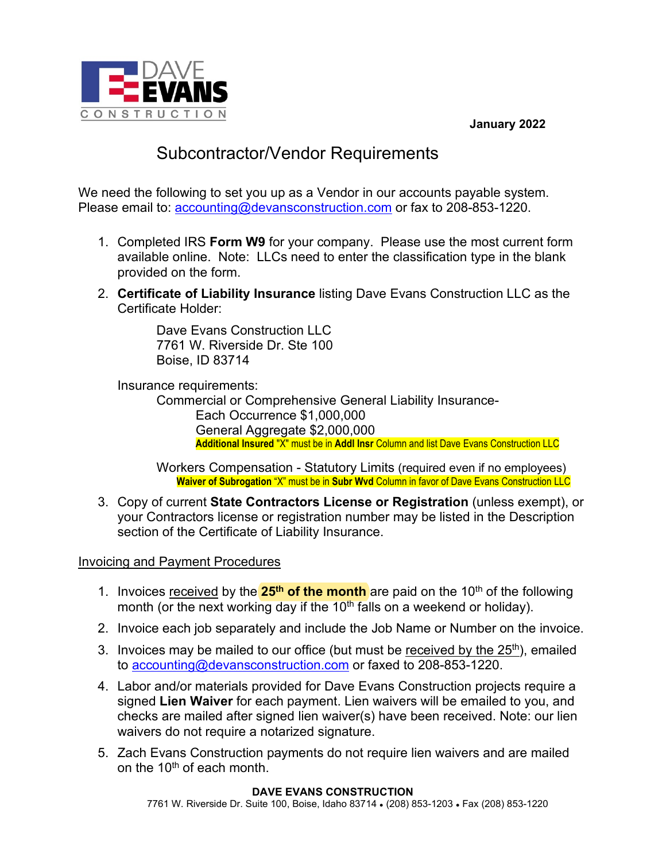**January 2022**



# Subcontractor/Vendor Requirements

We need the following to set you up as a Vendor in our accounts payable system. Please email to: [accounting@devansconstruction.com](mailto:accounting@devansconstruction.com) or fax to 208-853-1220.

- 1. Completed IRS **Form W9** for your company. Please use the most current form available online. Note: LLCs need to enter the classification type in the blank provided on the form.
- 2. **Certificate of Liability Insurance** listing Dave Evans Construction LLC as the Certificate Holder:

Dave Evans Construction LLC 7761 W. Riverside Dr. Ste 100 Boise, ID 83714

Insurance requirements:

Commercial or Comprehensive General Liability Insurance-Each Occurrence \$1,000,000 General Aggregate \$2,000,000 **Additional Insured** "X" must be in **Addl Insr** Column and list Dave Evans Construction LLC

Workers Compensation - Statutory Limits (required even if no employees) **Waiver of Subrogation** "X" must be in **Subr Wvd** Column in favor of Dave Evans Construction LLC

3. Copy of current **State Contractors License or Registration** (unless exempt), or your Contractors license or registration number may be listed in the Description section of the Certificate of Liability Insurance.

# Invoicing and Payment Procedures

- 1. Invoices received by the **25th of the month** are paid on the 10th of the following month (or the next working day if the 10<sup>th</sup> falls on a weekend or holiday).
- 2. Invoice each job separately and include the Job Name or Number on the invoice.
- 3. Invoices may be mailed to our office (but must be received by the  $25<sup>th</sup>$ ), emailed to [accounting@devansconstruction.com](mailto:accounting@devansconstruction.com) or faxed to 208-853-1220.
- 4. Labor and/or materials provided for Dave Evans Construction projects require a signed **Lien Waiver** for each payment. Lien waivers will be emailed to you, and checks are mailed after signed lien waiver(s) have been received. Note: our lien waivers do not require a notarized signature.
- 5. Zach Evans Construction payments do not require lien waivers and are mailed on the 10<sup>th</sup> of each month.

## **DAVE EVANS CONSTRUCTION**

7761 W. Riverside Dr. Suite 100, Boise, Idaho 83714 ● (208) 853-1203 ● Fax (208) 853-1220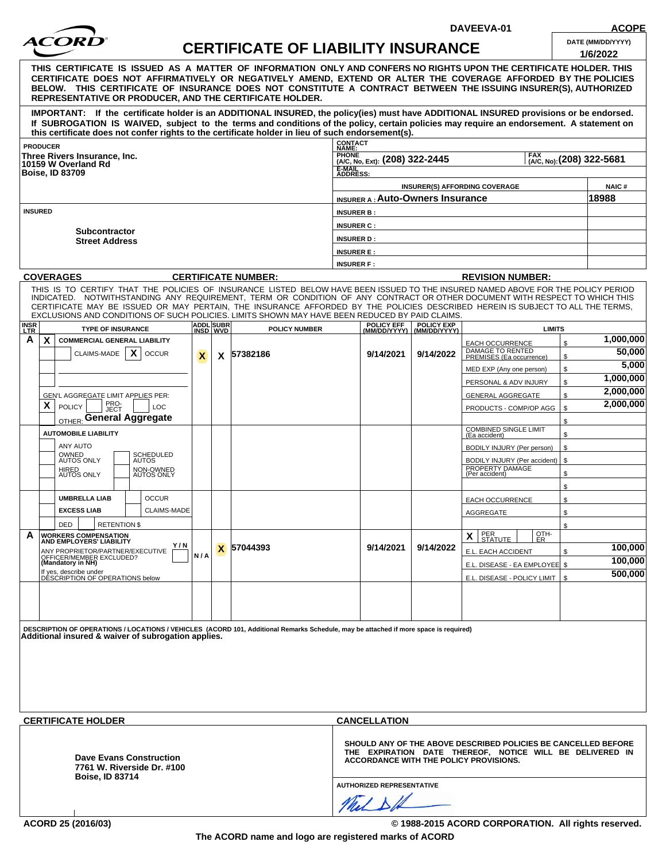

**DAVEEVA-01** 

| <b>ACOP</b> |
|-------------|
|             |

### ANY PROPRIETOR/PARTNER/EXECUTIVE **Department of the Security of Texas**<br>OFFICER/MEMBER EXCLUDED?<br>**(Mandatory in NH) INSR** TYPE OF INSURANCE **LTR INSPORT TYPE OF INSURANCE ADDL** SUBR<br> **LTR INSD** WVD<br> **A Y** COMMERCIAL GENERAL LIABILITY **PRODUCER CONTACT NAME: PHONE FAX (A/C, No, Ext): (A/C, No): E-MAIL ADDRESS: INSURER A : Auto-Owners Insurance INSURED INSURER B : INSURER C : INSURER D : INSURER E INSURER F : POLICY NUMBER POLICY EFF POLICY EXP TYPE OF INSURANCE (MM/DD/YYYY) (MM/DD/YYYY) LIMITS AUTOMOBILE LIABILITY UMBRELLA LIAB CCUR EXCESS LIAB WORKERS COMPENSATION AND EMPLOYERS' LIABILITY A DESCRIPTION OF OPERATIONS / LOCATIONS / VEHICLES (ACORD 101, Additional Remarks Schedule, may be attached if more space is required)** EACH OCCURRENCE  $\frac{1}{3}$ DAMAGE TO RENTED CLAIMS-MADE OCCUR PREMISES (Ea occurrence) \$ **X X <sup>57382186</sup> 9/14/2021 9/14/2022 50,000** MED EXP (Any one person) PERSONAL & ADV INJURY  $\|$  \$ GEN'L AGGREGATE LIMIT AP<u>PLIE</u>S PER: GENERAL AGGREGATE SOME AGGREGATE SOME AGGREGATE SOME AGGREGATE SOME AGGREGATE PRO- LOC PRO- PRODUCTS - COMP/OP AGG OTHER: \$ **General Aggregate** COMBINED SINGLE LIMIT (Ea accident) \$ ANY AUTO<br>OWNED SCHEDULED SCHEDULED<br>AUTOS ONLY AUTOS AUTOS OWNED<br>AUTOS ONLY BODILY INJURY (Per accident) HIRED NON-OWNED HILL RESEARCH WAS ARRESTED FOR THE MON-OWNED HILL RESEARCH WAS ARRESTED FOR DESCRIPTION ON THE PROPERTY DAMAGE AUTOS ONLY AUTOS ONLY (Per accident) \$  $$$ EACH OCCURRENCE CLAIMS-MADE SERVICES IN THE SERVICES OF SERVICES IN THE SERVICES OF SERVICES IN THE SERVICES OF SERVICES IN THE SERVICES OF SERVICES IN THE SERVICES OF SERVICES OF SERVICES OF SERVICES OF SERVICES OF SERVICES OF SERVICES O DED | RETENTION \$ PER OTH-STATUTE ER **X** E.L. EACH ACCIDENT E.L. DISEASE - EA EMPLOYEE \$ If yes, describe under DESCRIPTION OF OPERATIONS below E.L. DISEASE - POLICY LIMIT **INSURER(S) AFFORDING COVERAGE NAIC #**  $\blacksquare$   $\blacksquare$   $\blacksquare$   $\blacksquare$   $\blacksquare$   $\blacksquare$   $\blacksquare$   $\blacksquare$   $\blacksquare$   $\blacksquare$   $\blacksquare$   $\blacksquare$   $\blacksquare$   $\blacksquare$   $\blacksquare$   $\blacksquare$   $\blacksquare$   $\blacksquare$   $\blacksquare$   $\blacksquare$   $\blacksquare$   $\blacksquare$   $\blacksquare$   $\blacksquare$   $\blacksquare$   $\blacksquare$   $\blacksquare$   $\blacksquare$   $\blacksquare$   $\blacksquare$   $\blacksquare$   $\blacksquare$ **Y / N N / A** THIS IS TO CERTIFY THAT THE POLICIES OF INSURANCE LISTED BELOW HAVE BEEN ISSUED TO THE INSURED NAMED ABOVE FOR THE POLICY PERIOD INDICATED. NOTWITHSTANDING ANY REQUIREMENT, TERM OR CONDITION OF ANY CONTRACT OR OTHER DOCUMENT WITH RESPECT TO WHICH THIS CERTIFICATE MAY BE ISSUED OR MAY PERTAIN, THE INSURANCE AFFORDED BY THE POLICIES DESCRIBED HEREIN IS SUBJECT TO ALL THE TERMS, EXCLUSIONS AND CONDITIONS OF SUCH POLICIES. LIMITS SHOWN MAY HAVE BEEN REDUCED BY PAID CLAIMS<br>
FRICITYPE OF INSURANCE [INSD\_WVD | POLICY NUMBER | MM/DD/YYYY) (MM/DD/YYYY) **THIS CERTIFICATE IS ISSUED AS A MATTER OF INFORMATION ONLY AND CONFERS NO RIGHTS UPON THE CERTIFICATE HOLDER. THIS CERTIFICATE DOES NOT AFFIRMATIVELY OR NEGATIVELY AMEND, EXTEND OR ALTER THE COVERAGE AFFORDED BY THE POLICIES BELOW. THIS CERTIFICATE OF INSURANCE DOES NOT CONSTITUTE A CONTRACT BETWEEN THE ISSUING INSURER(S), AUTHORIZED REPRESENTATIVE OR PRODUCER, AND THE CERTIFICATE HOLDER. IMPORTANT: If the certificate holder is an ADDITIONAL INSURED, the policy(ies) must have ADDITIONAL INSURED provisions or be endorsed. If SUBROGATION IS WAIVED, subject to the terms and conditions of the policy, certain policies may require an endorsement. A statement on this certificate does not confer rights to the certificate holder in lieu of such endorsement(s). COVERAGES CERTIFICATE NUMBER: REVISION NUMBER: CERTIFICATE OF LIABILITY INSURANCE DATE (MM/DD/YYYY)**  $\frac{1}{2}$  $\frac{1}{2}$  $$$  $\frac{1}{2}$  $$$ **1/6/2022 (208) 322-2445 (208) 322-5681 18988 Subcontractor Street Address 5,000 1,000,000 2,000,000 2,000,000 X 57044393 9/14/2021 9/14/2022 100,000 100,000 500,000 Additional insured & waiver of subrogation applies. Three Rivers Insurance, Inc. 10159 W Overland Rd Boise, ID 83709 X** | OCCUR **X** POLICY

**AUTHORIZED REPRESENTATIVE SHOULD ANY OF THE ABOVE DESCRIBED POLICIES BE CANCELLED BEFORE THE EXPIRATION DATE THEREOF, NOTICE WILL BE DELIVERED IN ACCORDANCE WITH THE POLICY PROVISIONS. CERTIFICATE HOLDER CANCELLATION Dave Evans Construction 7761 W. Riverside Dr. #100 Boise, ID 83714**

**ACORD 25 (2016/03) © 1988-2015 ACORD CORPORATION. All rights reserved.**